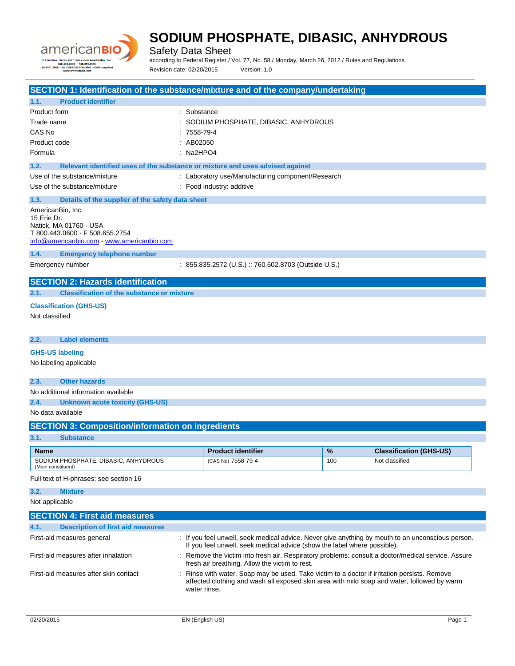

Safety Data Sheet

according to Federal Register / Vol. 77, No. 58 / Monday, March 26, 2012 / Rules and Regulations Revision date: 02/20/2015 Version: 1.0

| SECTION 1: Identification of the substance/mixture and of the company/undertaking     |             |                                                                                                                                                                                                             |     |                                |
|---------------------------------------------------------------------------------------|-------------|-------------------------------------------------------------------------------------------------------------------------------------------------------------------------------------------------------------|-----|--------------------------------|
| 1.1.<br><b>Product identifier</b>                                                     |             |                                                                                                                                                                                                             |     |                                |
| Product form                                                                          | Substance   |                                                                                                                                                                                                             |     |                                |
| Trade name                                                                            |             | SODIUM PHOSPHATE, DIBASIC, ANHYDROUS                                                                                                                                                                        |     |                                |
| CAS No                                                                                | 7558-79-4   |                                                                                                                                                                                                             |     |                                |
| Product code                                                                          | AB02050     |                                                                                                                                                                                                             |     |                                |
| Formula                                                                               | $:$ Na2HPO4 |                                                                                                                                                                                                             |     |                                |
| 1.2.<br>Relevant identified uses of the substance or mixture and uses advised against |             |                                                                                                                                                                                                             |     |                                |
| Use of the substance/mixture                                                          |             | : Laboratory use/Manufacturing component/Research                                                                                                                                                           |     |                                |
| Use of the substance/mixture                                                          |             | : Food industry: additive                                                                                                                                                                                   |     |                                |
| 1.3.<br>Details of the supplier of the safety data sheet                              |             |                                                                                                                                                                                                             |     |                                |
| AmericanBio, Inc.                                                                     |             |                                                                                                                                                                                                             |     |                                |
| 15 Erie Dr.                                                                           |             |                                                                                                                                                                                                             |     |                                |
| Natick, MA 01760 - USA<br>T 800.443.0600 - F 508.655.2754                             |             |                                                                                                                                                                                                             |     |                                |
| info@americanbio.com - www.americanbio.com                                            |             |                                                                                                                                                                                                             |     |                                |
| 1.4.<br><b>Emergency telephone number</b>                                             |             |                                                                                                                                                                                                             |     |                                |
| Emergency number                                                                      |             | : 855.835.2572 (U.S.) :: 760.602.8703 (Outside U.S.)                                                                                                                                                        |     |                                |
| <b>SECTION 2: Hazards identification</b>                                              |             |                                                                                                                                                                                                             |     |                                |
| 2.1.<br><b>Classification of the substance or mixture</b>                             |             |                                                                                                                                                                                                             |     |                                |
|                                                                                       |             |                                                                                                                                                                                                             |     |                                |
| <b>Classification (GHS-US)</b>                                                        |             |                                                                                                                                                                                                             |     |                                |
| Not classified                                                                        |             |                                                                                                                                                                                                             |     |                                |
|                                                                                       |             |                                                                                                                                                                                                             |     |                                |
| <b>Label elements</b><br>2.2.                                                         |             |                                                                                                                                                                                                             |     |                                |
| <b>GHS-US labeling</b>                                                                |             |                                                                                                                                                                                                             |     |                                |
| No labeling applicable                                                                |             |                                                                                                                                                                                                             |     |                                |
|                                                                                       |             |                                                                                                                                                                                                             |     |                                |
| 2.3.<br><b>Other hazards</b>                                                          |             |                                                                                                                                                                                                             |     |                                |
| No additional information available                                                   |             |                                                                                                                                                                                                             |     |                                |
| 2.4.<br><b>Unknown acute toxicity (GHS-US)</b>                                        |             |                                                                                                                                                                                                             |     |                                |
| No data available                                                                     |             |                                                                                                                                                                                                             |     |                                |
| <b>SECTION 3: Composition/information on ingredients</b>                              |             |                                                                                                                                                                                                             |     |                                |
| 3.1.<br><b>Substance</b>                                                              |             |                                                                                                                                                                                                             |     |                                |
| <b>Name</b>                                                                           |             | <b>Product identifier</b>                                                                                                                                                                                   | %   | <b>Classification (GHS-US)</b> |
| SODIUM PHOSPHATE, DIBASIC, ANHYDROUS                                                  |             | (CAS No) 7558-79-4                                                                                                                                                                                          | 100 | Not classified                 |
| (Main constituent)                                                                    |             |                                                                                                                                                                                                             |     |                                |
| Full text of H-phrases: see section 16                                                |             |                                                                                                                                                                                                             |     |                                |
| 3.2.<br><b>Mixture</b>                                                                |             |                                                                                                                                                                                                             |     |                                |
| Not applicable                                                                        |             |                                                                                                                                                                                                             |     |                                |
| <b>SECTION 4: First aid measures</b>                                                  |             |                                                                                                                                                                                                             |     |                                |
| 4.1.<br><b>Description of first aid measures</b>                                      |             |                                                                                                                                                                                                             |     |                                |
| First-aid measures general                                                            |             | : If you feel unwell, seek medical advice. Never give anything by mouth to an unconscious person.<br>If you feel unwell, seek medical advice (show the label where possible).                               |     |                                |
| First-aid measures after inhalation                                                   |             | : Remove the victim into fresh air. Respiratory problems: consult a doctor/medical service. Assure<br>fresh air breathing. Allow the victim to rest.                                                        |     |                                |
| First-aid measures after skin contact                                                 |             | : Rinse with water. Soap may be used. Take victim to a doctor if irritation persists. Remove<br>affected clothing and wash all exposed skin area with mild soap and water, followed by warm<br>water rinse. |     |                                |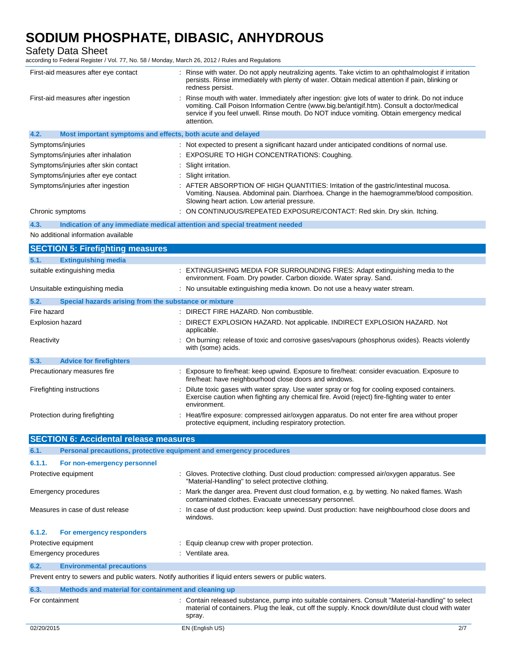Safety Data Sheet

according to Federal Register / Vol. 77, No. 58 / Monday, March 26, 2012 / Rules and Regulations

| iccording to Federal Register / Vol. 77, NO. 36 / Monday, March 26, 2012 / Rules and Regulations |                                                                                                                                                                                                                                                                                                           |
|--------------------------------------------------------------------------------------------------|-----------------------------------------------------------------------------------------------------------------------------------------------------------------------------------------------------------------------------------------------------------------------------------------------------------|
| First-aid measures after eye contact                                                             | : Rinse with water. Do not apply neutralizing agents. Take victim to an ophthalmologist if irritation<br>persists. Rinse immediately with plenty of water. Obtain medical attention if pain, blinking or<br>redness persist.                                                                              |
| First-aid measures after ingestion                                                               | Rinse mouth with water. Immediately after ingestion: give lots of water to drink. Do not induce<br>vomiting. Call Poison Information Centre (www.big.be/antigif.htm). Consult a doctor/medical<br>service if you feel unwell. Rinse mouth. Do NOT induce vomiting. Obtain emergency medical<br>attention. |
| Most important symptoms and effects, both acute and delayed<br>4.2.                              |                                                                                                                                                                                                                                                                                                           |
| Symptoms/injuries                                                                                | : Not expected to present a significant hazard under anticipated conditions of normal use.                                                                                                                                                                                                                |
| Symptoms/injuries after inhalation                                                               | EXPOSURE TO HIGH CONCENTRATIONS: Coughing.                                                                                                                                                                                                                                                                |
| Symptoms/injuries after skin contact                                                             | Slight irritation.                                                                                                                                                                                                                                                                                        |
| Symptoms/injuries after eye contact                                                              | : Slight irritation.                                                                                                                                                                                                                                                                                      |
| Symptoms/injuries after ingestion                                                                | : AFTER ABSORPTION OF HIGH QUANTITIES: Irritation of the gastric/intestinal mucosa.<br>Vomiting. Nausea. Abdominal pain. Diarrhoea. Change in the haemogramme/blood composition.<br>Slowing heart action. Low arterial pressure.                                                                          |
| Chronic symptoms                                                                                 | : ON CONTINUOUS/REPEATED EXPOSURE/CONTACT: Red skin. Dry skin. Itching.                                                                                                                                                                                                                                   |
| 4.3.                                                                                             | Indication of any immediate medical attention and special treatment needed                                                                                                                                                                                                                                |
| No additional information available                                                              |                                                                                                                                                                                                                                                                                                           |
| <b>SECTION 5: Firefighting measures</b>                                                          |                                                                                                                                                                                                                                                                                                           |
| 5.1.<br><b>Extinguishing media</b>                                                               |                                                                                                                                                                                                                                                                                                           |
| suitable extinguishing media                                                                     | : EXTINGUISHING MEDIA FOR SURROUNDING FIRES: Adapt extinguishing media to the<br>environment. Foam. Dry powder. Carbon dioxide. Water spray. Sand.                                                                                                                                                        |
| Unsuitable extinguishing media                                                                   | : No unsuitable extinguishing media known. Do not use a heavy water stream.                                                                                                                                                                                                                               |
| 5.2.<br>Special hazards arising from the substance or mixture                                    |                                                                                                                                                                                                                                                                                                           |
| Fire hazard                                                                                      | : DIRECT FIRE HAZARD. Non combustible.                                                                                                                                                                                                                                                                    |
| <b>Explosion hazard</b>                                                                          | DIRECT EXPLOSION HAZARD. Not applicable. INDIRECT EXPLOSION HAZARD. Not<br>applicable.                                                                                                                                                                                                                    |
| Reactivity                                                                                       | On burning: release of toxic and corrosive gases/vapours (phosphorus oxides). Reacts violently<br>with (some) acids.                                                                                                                                                                                      |
| 5.3.<br><b>Advice for firefighters</b>                                                           |                                                                                                                                                                                                                                                                                                           |

| 5.3.<br><b>Advice for firefighters</b> |                                                                                                                                                                                                              |
|----------------------------------------|--------------------------------------------------------------------------------------------------------------------------------------------------------------------------------------------------------------|
| Precautionary measures fire            | : Exposure to fire/heat: keep upwind. Exposure to fire/heat: consider evacuation. Exposure to<br>fire/heat: have neighbourhood close doors and windows.                                                      |
| Firefighting instructions              | Dilute toxic gases with water spray. Use water spray or fog for cooling exposed containers.<br>Exercise caution when fighting any chemical fire. Avoid (reject) fire-fighting water to enter<br>environment. |
| Protection during firefighting         | : Heat/fire exposure: compressed air/oxygen apparatus. Do not enter fire area without proper<br>protective equipment, including respiratory protection.                                                      |

|                 | <b>SECTION 6: Accidental release measures</b>                       |                                                                                                                                                                                                                    |  |  |  |
|-----------------|---------------------------------------------------------------------|--------------------------------------------------------------------------------------------------------------------------------------------------------------------------------------------------------------------|--|--|--|
| 6.1.            | Personal precautions, protective equipment and emergency procedures |                                                                                                                                                                                                                    |  |  |  |
| 6.1.1.          | For non-emergency personnel                                         |                                                                                                                                                                                                                    |  |  |  |
|                 | Protective equipment                                                | : Gloves. Protective clothing. Dust cloud production: compressed air/oxygen apparatus. See<br>"Material-Handling" to select protective clothing.                                                                   |  |  |  |
|                 | Emergency procedures                                                | : Mark the danger area. Prevent dust cloud formation, e.g. by wetting. No naked flames. Wash<br>contaminated clothes. Evacuate unnecessary personnel.                                                              |  |  |  |
|                 | Measures in case of dust release                                    | : In case of dust production: keep upwind. Dust production: have neighbourhood close doors and<br>windows.                                                                                                         |  |  |  |
| 6.1.2.          | For emergency responders                                            |                                                                                                                                                                                                                    |  |  |  |
|                 | Protective equipment                                                | : Equip cleanup crew with proper protection.                                                                                                                                                                       |  |  |  |
|                 | Emergency procedures                                                | : Ventilate area.                                                                                                                                                                                                  |  |  |  |
| 6.2.            | <b>Environmental precautions</b>                                    |                                                                                                                                                                                                                    |  |  |  |
|                 |                                                                     | Prevent entry to sewers and public waters. Notify authorities if liquid enters sewers or public waters.                                                                                                            |  |  |  |
| 6.3.            | Methods and material for containment and cleaning up                |                                                                                                                                                                                                                    |  |  |  |
| For containment |                                                                     | : Contain released substance, pump into suitable containers. Consult "Material-handling" to select<br>material of containers. Plug the leak, cut off the supply. Knock down/dilute dust cloud with water<br>spray. |  |  |  |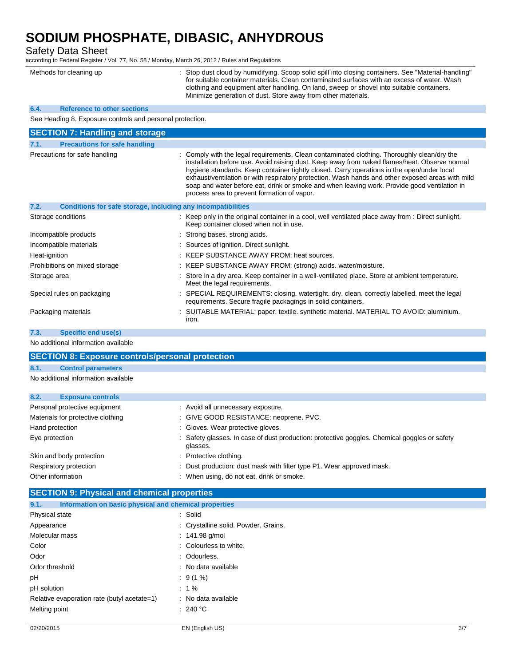Safety Data Sheet

according to Federal Register / Vol. 77, No. 58 / Monday, March 26, 2012 / Rules and Regulations

| Methods for cleaning up | : Stop dust cloud by humidifying. Scoop solid spill into closing containers. See "Material-handling"<br>for suitable container materials. Clean contaminated surfaces with an excess of water. Wash |
|-------------------------|-----------------------------------------------------------------------------------------------------------------------------------------------------------------------------------------------------|
|                         | clothing and equipment after handling. On land, sweep or shovel into suitable containers.<br>Minimize generation of dust. Store away from other materials.                                          |

#### **6.4. Reference to other sections**

See Heading 8. Exposure controls and personal protection.

|                               | <b>SECTION 7: Handling and storage</b>                       |                                                                                                                                                                                                                                                                                                                                                                                                                                                                                                                                               |  |  |
|-------------------------------|--------------------------------------------------------------|-----------------------------------------------------------------------------------------------------------------------------------------------------------------------------------------------------------------------------------------------------------------------------------------------------------------------------------------------------------------------------------------------------------------------------------------------------------------------------------------------------------------------------------------------|--|--|
| 7.1.                          | <b>Precautions for safe handling</b>                         |                                                                                                                                                                                                                                                                                                                                                                                                                                                                                                                                               |  |  |
| Precautions for safe handling |                                                              | : Comply with the legal requirements. Clean contaminated clothing. Thoroughly clean/dry the<br>installation before use. Avoid raising dust. Keep away from naked flames/heat. Observe normal<br>hygiene standards. Keep container tightly closed. Carry operations in the open/under local<br>exhaust/ventilation or with respiratory protection. Wash hands and other exposed areas with mild<br>soap and water before eat, drink or smoke and when leaving work. Provide good ventilation in<br>process area to prevent formation of vapor. |  |  |
| 7.2.                          | Conditions for safe storage, including any incompatibilities |                                                                                                                                                                                                                                                                                                                                                                                                                                                                                                                                               |  |  |
| Storage conditions            |                                                              | : Keep only in the original container in a cool, well ventilated place away from : Direct sunlight.<br>Keep container closed when not in use.                                                                                                                                                                                                                                                                                                                                                                                                 |  |  |
| Incompatible products         |                                                              | : Strong bases, strong acids.                                                                                                                                                                                                                                                                                                                                                                                                                                                                                                                 |  |  |
| Incompatible materials        |                                                              | : Sources of ignition. Direct sunlight.                                                                                                                                                                                                                                                                                                                                                                                                                                                                                                       |  |  |
| Heat-ignition                 |                                                              | : KEEP SUBSTANCE AWAY FROM: heat sources.                                                                                                                                                                                                                                                                                                                                                                                                                                                                                                     |  |  |
| Prohibitions on mixed storage |                                                              | : KEEP SUBSTANCE AWAY FROM: (strong) acids. water/moisture.                                                                                                                                                                                                                                                                                                                                                                                                                                                                                   |  |  |
| Storage area                  |                                                              | : Store in a dry area. Keep container in a well-ventilated place. Store at ambient temperature.<br>Meet the legal requirements.                                                                                                                                                                                                                                                                                                                                                                                                               |  |  |
| Special rules on packaging    |                                                              | : SPECIAL REQUIREMENTS: closing. watertight. dry. clean. correctly labelled. meet the legal<br>requirements. Secure fragile packagings in solid containers.                                                                                                                                                                                                                                                                                                                                                                                   |  |  |
| Packaging materials           |                                                              | : SUITABLE MATERIAL: paper. textile. synthetic material. MATERIAL TO AVOID: aluminium.<br>iron.                                                                                                                                                                                                                                                                                                                                                                                                                                               |  |  |

**7.3. Specific end use(s)**

No additional information available

| <b>SECTION 8: Exposure controls/personal protection</b> |                                                                                                          |
|---------------------------------------------------------|----------------------------------------------------------------------------------------------------------|
| 8.1.<br><b>Control parameters</b>                       |                                                                                                          |
| No additional information available                     |                                                                                                          |
|                                                         |                                                                                                          |
| 8.2.<br><b>Exposure controls</b>                        |                                                                                                          |
| Personal protective equipment                           | : Avoid all unnecessary exposure.                                                                        |
| Materials for protective clothing                       | : GIVE GOOD RESISTANCE: neoprene. PVC.                                                                   |
| Hand protection                                         | : Gloves. Wear protective gloves.                                                                        |
| Eye protection                                          | : Safety glasses. In case of dust production: protective goggles. Chemical goggles or safety<br>glasses. |
| Skin and body protection                                | : Protective clothing.                                                                                   |
| Respiratory protection                                  | : Dust production: dust mask with filter type P1. Wear approved mask.                                    |
| Other information                                       | : When using, do not eat, drink or smoke.                                                                |
|                                                         |                                                                                                          |

### **SECTION 9: Physical and chemical properties**

| 9.1.           | Information on basic physical and chemical properties |                                      |
|----------------|-------------------------------------------------------|--------------------------------------|
| Physical state |                                                       | : Solid                              |
| Appearance     |                                                       | : Crystalline solid. Powder. Grains. |
| Molecular mass |                                                       | : $141.98$ g/mol                     |
| Color          |                                                       | : Colourless to white.               |
| Odor           |                                                       | : Odourless.                         |
| Odor threshold |                                                       | : No data available                  |
| рH             |                                                       | $: 9(1\%)$                           |
| pH solution    |                                                       | $: 1\%$                              |
|                | Relative evaporation rate (butyl acetate=1)           | : No data available                  |
| Melting point  |                                                       | : 240 °C                             |
|                |                                                       |                                      |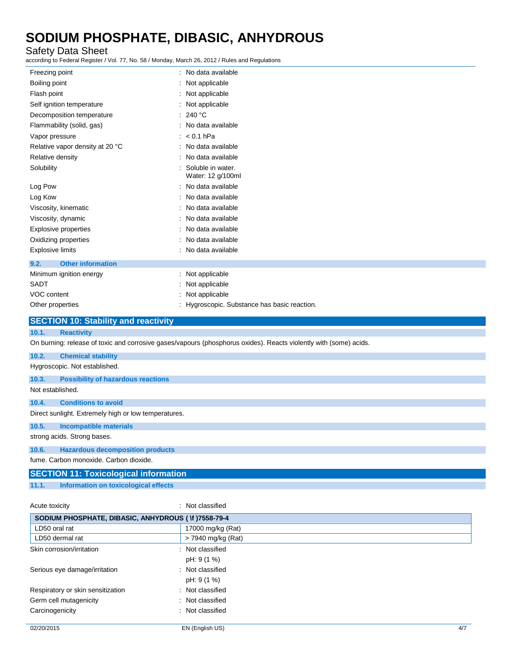### Safety Data Sheet

according to Federal Register / Vol. 77, No. 58 / Monday, March 26, 2012 / Rules and Regulations

| Freezing point                              | : No data available                                                                                               |
|---------------------------------------------|-------------------------------------------------------------------------------------------------------------------|
| Boiling point                               | : Not applicable                                                                                                  |
| Flash point                                 | : Not applicable                                                                                                  |
| Self ignition temperature                   | : Not applicable                                                                                                  |
| Decomposition temperature                   | : 240 °C                                                                                                          |
| Flammability (solid, gas)                   | : No data available                                                                                               |
| Vapor pressure                              | $: < 0.1$ hPa                                                                                                     |
| Relative vapor density at 20 °C             | : No data available                                                                                               |
| Relative density                            | : No data available                                                                                               |
| Solubility                                  | Soluble in water.<br>Water: 12 g/100ml                                                                            |
| Log Pow                                     | No data available                                                                                                 |
| Log Kow                                     | : No data available                                                                                               |
| Viscosity, kinematic                        | : No data available                                                                                               |
| Viscosity, dynamic                          | : No data available                                                                                               |
| <b>Explosive properties</b>                 | : No data available                                                                                               |
| Oxidizing properties                        | : No data available                                                                                               |
| <b>Explosive limits</b>                     | : No data available                                                                                               |
| <b>Other information</b><br>9.2.            |                                                                                                                   |
| Minimum ignition energy                     | : Not applicable                                                                                                  |
| <b>SADT</b>                                 | : Not applicable                                                                                                  |
| VOC content                                 | : Not applicable                                                                                                  |
| Other properties                            | : Hygroscopic. Substance has basic reaction.                                                                      |
| <b>SECTION 10: Stability and reactivity</b> |                                                                                                                   |
| 10.1.<br><b>Reactivity</b>                  |                                                                                                                   |
|                                             | On burning: release of toxic and corrosive gases/vapours (phosphorus oxides). Reacts violently with (some) acids. |

**10.2. Chemical stability** Hygroscopic. Not established.

### **10.3. Possibility of hazardous reactions**

Not established.

### **10.4. Conditions to avoid**

Direct sunlight. Extremely high or low temperatures.

### **10.5. Incompatible materials**

strong acids. Strong bases.

### **10.6. Hazardous decomposition products**

fume. Carbon monoxide. Carbon dioxide.

### **SECTION 11: Toxicological information**

**11.1. Information on toxicological effects**

Acute toxicity in the contract of the contract of the classified in the classified in the contract of the contract of the contract of the contract of the contract of the contract of the contract of the contract of the cont

| SODIUM PHOSPHATE, DIBASIC, ANHYDROUS (1) 17558-79-4 |                    |     |
|-----------------------------------------------------|--------------------|-----|
| LD50 oral rat                                       | 17000 mg/kg (Rat)  |     |
| LD50 dermal rat                                     | > 7940 mg/kg (Rat) |     |
| Skin corrosion/irritation                           | : Not classified   |     |
|                                                     | pH: 9 (1 %)        |     |
| Serious eye damage/irritation                       | : Not classified   |     |
|                                                     | pH: 9 (1 %)        |     |
| Respiratory or skin sensitization                   | : Not classified   |     |
| Germ cell mutagenicity                              | : Not classified   |     |
| Carcinogenicity                                     | : Not classified   |     |
|                                                     |                    |     |
| 02/20/2015                                          | EN (English US)    | 4/7 |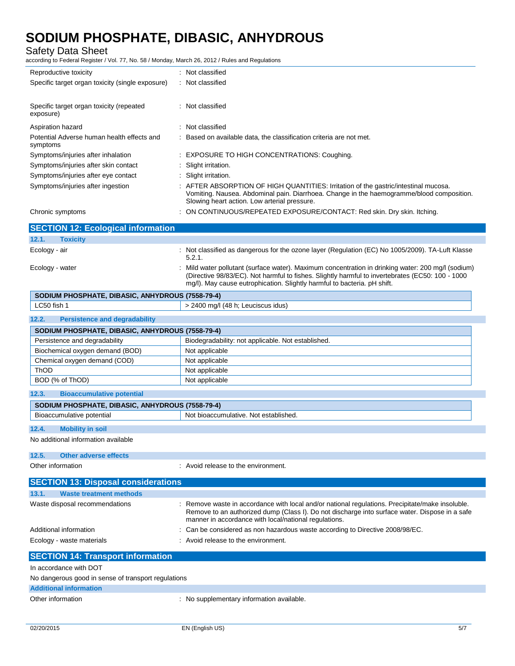| <b>Safety Data Sheet</b><br>according to Federal Register / Vol. 77, No. 58 / Monday, March 26, 2012 / Rules and Regulations |                                                                                                                                                                                                                                                                                  |
|------------------------------------------------------------------------------------------------------------------------------|----------------------------------------------------------------------------------------------------------------------------------------------------------------------------------------------------------------------------------------------------------------------------------|
| Reproductive toxicity                                                                                                        | : Not classified                                                                                                                                                                                                                                                                 |
| Specific target organ toxicity (single exposure)                                                                             | : Not classified                                                                                                                                                                                                                                                                 |
| Specific target organ toxicity (repeated<br>exposure)                                                                        | Not classified                                                                                                                                                                                                                                                                   |
| Aspiration hazard                                                                                                            | Not classified                                                                                                                                                                                                                                                                   |
| Potential Adverse human health effects and<br>symptoms                                                                       | Based on available data, the classification criteria are not met.                                                                                                                                                                                                                |
| Symptoms/injuries after inhalation                                                                                           | : EXPOSURE TO HIGH CONCENTRATIONS: Coughing.                                                                                                                                                                                                                                     |
| Symptoms/injuries after skin contact                                                                                         | : Slight irritation.                                                                                                                                                                                                                                                             |
| Symptoms/injuries after eye contact                                                                                          | : Slight irritation.                                                                                                                                                                                                                                                             |
| Symptoms/injuries after ingestion                                                                                            | : AFTER ABSORPTION OF HIGH QUANTITIES: Irritation of the gastric/intestinal mucosa.<br>Vomiting. Nausea. Abdominal pain. Diarrhoea. Change in the haemogramme/blood composition.<br>Slowing heart action. Low arterial pressure.                                                 |
| Chronic symptoms                                                                                                             | ON CONTINUOUS/REPEATED EXPOSURE/CONTACT: Red skin. Dry skin. Itching.                                                                                                                                                                                                            |
| <b>SECTION 12: Ecological information</b>                                                                                    |                                                                                                                                                                                                                                                                                  |
| 12.1.<br><b>Toxicity</b>                                                                                                     |                                                                                                                                                                                                                                                                                  |
| Ecology - air                                                                                                                | : Not classified as dangerous for the ozone layer (Regulation (EC) No 1005/2009). TA-Luft Klasse<br>5.2.1.                                                                                                                                                                       |
| Ecology - water                                                                                                              | Mild water pollutant (surface water). Maximum concentration in drinking water: 200 mg/l (sodium)<br>(Directive 98/83/EC). Not harmful to fishes. Slightly harmful to invertebrates (EC50: 100 - 1000<br>mg/l). May cause eutrophication. Slightly harmful to bacteria. pH shift. |
| SODIUM PHOSPHATE, DIBASIC, ANHYDROUS (7558-79-4)                                                                             |                                                                                                                                                                                                                                                                                  |
| LC50 fish 1                                                                                                                  | > 2400 mg/l (48 h; Leuciscus idus)                                                                                                                                                                                                                                               |
| 12.2.<br><b>Persistence and degradability</b>                                                                                |                                                                                                                                                                                                                                                                                  |
| SODIUM PHOSPHATE, DIBASIC, ANHYDROUS (7558-79-4)                                                                             |                                                                                                                                                                                                                                                                                  |
| Persistence and degradability                                                                                                | Biodegradability: not applicable. Not established.                                                                                                                                                                                                                               |
| Biochemical oxygen demand (BOD)                                                                                              | Not applicable                                                                                                                                                                                                                                                                   |
| Chemical oxygen demand (COD)                                                                                                 | Not applicable                                                                                                                                                                                                                                                                   |
| ThOD                                                                                                                         | Not applicable                                                                                                                                                                                                                                                                   |
| BOD (% of ThOD)                                                                                                              | Not applicable                                                                                                                                                                                                                                                                   |
| <b>Bioaccumulative potential</b><br>12.3.                                                                                    |                                                                                                                                                                                                                                                                                  |
| SODIUM PHOSPHATE, DIBASIC, ANHYDROUS (7558-79-4)                                                                             |                                                                                                                                                                                                                                                                                  |
| Bioaccumulative potential                                                                                                    | Not bioaccumulative. Not established.                                                                                                                                                                                                                                            |
| 12.4.<br><b>Mobility in soil</b>                                                                                             |                                                                                                                                                                                                                                                                                  |
| No additional information available                                                                                          |                                                                                                                                                                                                                                                                                  |
| 12.5.<br><b>Other adverse effects</b>                                                                                        |                                                                                                                                                                                                                                                                                  |
| Other information                                                                                                            | : Avoid release to the environment.                                                                                                                                                                                                                                              |
| <b>SECTION 13: Disposal considerations</b>                                                                                   |                                                                                                                                                                                                                                                                                  |
| 13.1.<br><b>Waste treatment methods</b>                                                                                      |                                                                                                                                                                                                                                                                                  |
| Waste disposal recommendations                                                                                               | : Remove waste in accordance with local and/or national regulations. Precipitate/make insoluble.<br>Remove to an authorized dump (Class I). Do not discharge into surface water. Dispose in a safe                                                                               |
|                                                                                                                              | manner in accordance with local/national regulations.                                                                                                                                                                                                                            |
| Additional information                                                                                                       | Can be considered as non hazardous waste according to Directive 2008/98/EC.                                                                                                                                                                                                      |
| Ecology - waste materials                                                                                                    | Avoid release to the environment.                                                                                                                                                                                                                                                |
| <b>SECTION 14: Transport information</b>                                                                                     |                                                                                                                                                                                                                                                                                  |
| In accordance with DOT                                                                                                       |                                                                                                                                                                                                                                                                                  |
| No dangerous good in sense of transport regulations                                                                          |                                                                                                                                                                                                                                                                                  |
| <b>Additional information</b>                                                                                                |                                                                                                                                                                                                                                                                                  |
| Other information                                                                                                            | : No supplementary information available.                                                                                                                                                                                                                                        |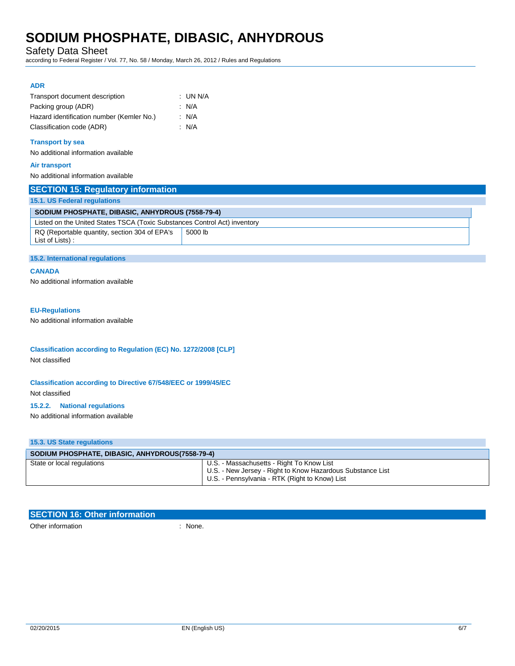Safety Data Sheet

according to Federal Register / Vol. 77, No. 58 / Monday, March 26, 2012 / Rules and Regulations

### **ADR**

| Transport document description            | : UN N/A |
|-------------------------------------------|----------|
| Packing group (ADR)                       | : N/A    |
| Hazard identification number (Kemler No.) | : N/A    |
| Classification code (ADR)                 | : N/A    |

#### **Transport by sea**

No additional information available

#### **Air transport**

No additional information available

| <b>SECTION 15: Regulatory information</b>                                 |         |  |  |
|---------------------------------------------------------------------------|---------|--|--|
| 15.1. US Federal regulations                                              |         |  |  |
| SODIUM PHOSPHATE, DIBASIC, ANHYDROUS (7558-79-4)                          |         |  |  |
| Listed on the United States TSCA (Toxic Substances Control Act) inventory |         |  |  |
| RQ (Reportable quantity, section 304 of EPA's<br>List of Lists):          | 5000 lb |  |  |

### **15.2. International regulations**

#### **CANADA**

No additional information available

### **EU-Regulations**

No additional information available

### **Classification according to Regulation (EC) No. 1272/2008 [CLP]** Not classified

### **Classification according to Directive 67/548/EEC or 1999/45/EC** Not classified

#### **15.2.2. National regulations**

No additional information available

### **15.3. US State regulations**

| SODIUM PHOSPHATE, DIBASIC, ANHYDROUS(7558-79-4) |                                                                                                                                                           |  |
|-------------------------------------------------|-----------------------------------------------------------------------------------------------------------------------------------------------------------|--|
| State or local regulations                      | U.S. - Massachusetts - Right To Know List<br>U.S. - New Jersey - Right to Know Hazardous Substance List<br>U.S. - Pennsylvania - RTK (Right to Know) List |  |

| <b>SECTION 16: Other information</b> |       |
|--------------------------------------|-------|
| Other information                    | None. |